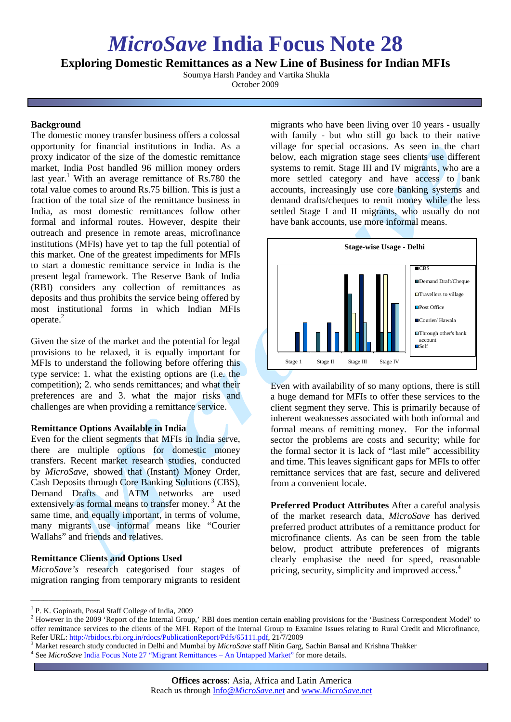# *MicroSave* **India Focus Note 28**

**Exploring Domestic Remittances as a New Line of Business for Indian MFIs**

Soumya Harsh Pandey and Vartika Shukla October 2009

## **Background**

The domestic money transfer business offers a colossal opportunity for financial institutions in India. As a proxy indicator of the size of the domestic remittance market, India Post handled 96 million money orders last year.<sup>1</sup> With an average remittance of Rs.780 the total value comes to around Rs.75 billion. This is just a fraction of the total size of the remittance business in India, as most domestic remittances follow other formal and informal routes. However, despite their outreach and presence in remote areas, microfinance institutions (MFIs) have yet to tap the full potential of this market. One of the greatest impediments for MFIs to start a domestic remittance service in India is the present legal framework. The Reserve Bank of India (RBI) considers any collection of remittances as deposits and thus prohibits the service being offered by most institutional forms in which Indian MFIs operate.<sup>2</sup>

Given the size of the market and the potential for legal provisions to be relaxed, it is equally important for MFIs to understand the following before offering this type service: 1. what the existing options are (i.e. the competition); 2. who sends remittances; and what their preferences are and 3. what the major risks and challenges are when providing a remittance service.

## **Remittance Options Available in India**

Even for the client segments that MFIs in India serve, there are multiple options for domestic money transfers. Recent market research studies, conducted by *MicroSave,* showed that (Instant) Money Order, Cash Deposits through Core Banking Solutions (CBS), Demand Drafts and ATM networks are used extensively as formal means to transfer money.<sup>3</sup> At the same time, and equally important, in terms of volume, many migrants use informal means like "Courier Wallahs" and friends and relatives.

## **Remittance Clients and Options Used**

*\_\_\_\_\_\_\_\_\_\_\_\_\_\_\_\_\_\_\_\_\_\_\_\_\_\_\_*

*MicroSave's* research categorised four stages of migration ranging from temporary migrants to resident

migrants who have been living over 10 years - usually with family - but who still go back to their native village for special occasions. As seen in the chart below, each migration stage sees clients use different systems to remit. Stage III and IV migrants, who are a more settled category and have access to bank accounts, increasingly use core banking systems and demand drafts/cheques to remit money while the less settled Stage I and II migrants, who usually do not have bank accounts, use more informal means.



Even with availability of so many options, there is still a huge demand for MFIs to offer these services to the client segment they serve. This is primarily because of inherent weaknesses associated with both informal and formal means of remitting money. For the informal sector the problems are costs and security; while for the formal sector it is lack of "last mile" accessibility and time. This leaves significant gaps for MFIs to offer remittance services that are fast, secure and delivered from a convenient locale.

**Preferred Product Attributes** After a careful analysis of the market research data, *MicroSave* has derived preferred product attributes of a remittance product for microfinance clients. As can be seen from the table below, product attribute preferences of migrants clearly emphasise the need for speed, reasonable pricing, security, simplicity and improved access.<sup>4</sup>

<sup>&</sup>lt;sup>1</sup> P. K. Gopinath, Postal Staff College of India, 2009

<sup>&</sup>lt;sup>2</sup> However in the 2009 'Report of the Internal Group,' RBI does mention certain enabling provisions for the 'Business Correspondent Model' to offer remittance services to the clients of the MFI. Report of the Internal Group to Examine Issues relating to Rural Credit and Microfinance,

Refer URL: [http://rbidocs.rbi.org.in/rdocs/PublicationReport/Pdfs/65111.pdf,](http://rbidocs.rbi.org.in/rdocs/PublicationReport/Pdfs/65111.pdf) 21/7/2009<br>
<sup>3</sup> Market research study conducted in Delhi and Mumbai by *MicroSave* staff Nitin Garg, Sachin Bansal and Krishna Thakker<br>
<sup>4</sup> See *M*